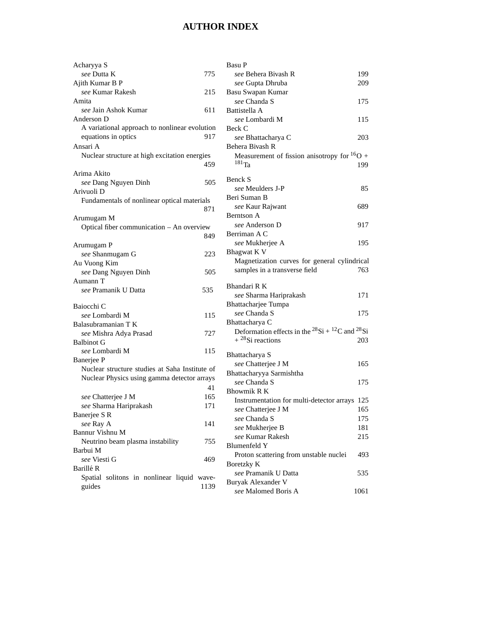## **AUTHOR INDEX**

| Acharyya S                                         | Basu P                                                                        |
|----------------------------------------------------|-------------------------------------------------------------------------------|
| 775<br><i>see</i> Dutta K                          | see Behera Bivash R<br>199                                                    |
| Ajith Kumar B P                                    | see Gupta Dhruba<br>209                                                       |
| see Kumar Rakesh<br>215                            | Basu Swapan Kumar                                                             |
| Amita                                              | see Chanda S<br>175                                                           |
| see Jain Ashok Kumar<br>611                        | Battistella A                                                                 |
| Anderson D                                         | see Lombardi M<br>115                                                         |
| A variational approach to nonlinear evolution      | Beck C                                                                        |
| equations in optics<br>917                         | 203<br>see Bhattacharya C                                                     |
| Ansari A                                           | Behera Bivash R                                                               |
| Nuclear structure at high excitation energies      | Measurement of fission anisotropy for ${}^{16}O$ +                            |
| 459                                                | $181$ Ta<br>199                                                               |
| Arima Akito                                        |                                                                               |
| 505<br>see Dang Nguyen Dinh                        | Benck S                                                                       |
| Arivuoli D                                         | see Meulders J-P<br>85                                                        |
| Fundamentals of nonlinear optical materials        | Beri Suman B                                                                  |
| 871                                                | see Kaur Rajwant<br>689                                                       |
| Arumugam M                                         | Berntson A                                                                    |
| Optical fiber communication - An overview          | see Anderson D<br>917                                                         |
| 849                                                | Berriman A C                                                                  |
| Arumugam P                                         | see Mukherjee A<br>195                                                        |
| 223<br>see Shanmugam G                             | Bhagwat K V                                                                   |
| Au Vuong Kim                                       | Magnetization curves for general cylindrical                                  |
| see Dang Nguyen Dinh<br>505                        | samples in a transverse field<br>763                                          |
| Aumann T                                           |                                                                               |
| see Pramanik U Datta<br>535                        | Bhandari R K                                                                  |
|                                                    | see Sharma Hariprakash<br>171                                                 |
| Baiocchi C                                         | Bhattacharjee Tumpa                                                           |
| see Lombardi M<br>115                              | see Chanda S<br>175                                                           |
| Balasubramanian T K                                | Bhattacharya C<br>Deformation effects in the $^{28}Si + ^{12}C$ and $^{28}Si$ |
| 727<br>see Mishra Adya Prasad                      | $+{}^{28}Si$ reactions<br>203                                                 |
| <b>Balbinot G</b>                                  |                                                                               |
| see Lombardi M<br>115                              | Bhattacharya S                                                                |
| Banerjee P                                         | see Chatterjee J M<br>165                                                     |
| Nuclear structure studies at Saha Institute of     | Bhattacharyya Sarmishtha                                                      |
| Nuclear Physics using gamma detector arrays        | see Chanda S<br>175                                                           |
| 41                                                 | Bhowmik R K                                                                   |
| see Chatterjee J M<br>165                          | Instrumentation for multi-detector arrays 125                                 |
| see Sharma Hariprakash<br>171                      | see Chatterjee J M<br>165                                                     |
| Banerjee S R                                       | see Chanda S<br>175                                                           |
| 141<br>see Ray A                                   | see Mukherjee B<br>181                                                        |
| Bannur Vishnu M                                    | see Kumar Rakesh<br>215                                                       |
| Neutrino beam plasma instability<br>755            | <b>Blumenfeld Y</b>                                                           |
| Barbui M                                           | Proton scattering from unstable nuclei<br>493                                 |
| see Viesti G<br>469                                | Boretzky K                                                                    |
| Barillé R                                          | see Pramanik U Datta<br>535                                                   |
| Spatial solitons in nonlinear liquid wave-<br>1139 | Buryak Alexander V                                                            |
| guides                                             | see Malomed Boris A<br>1061                                                   |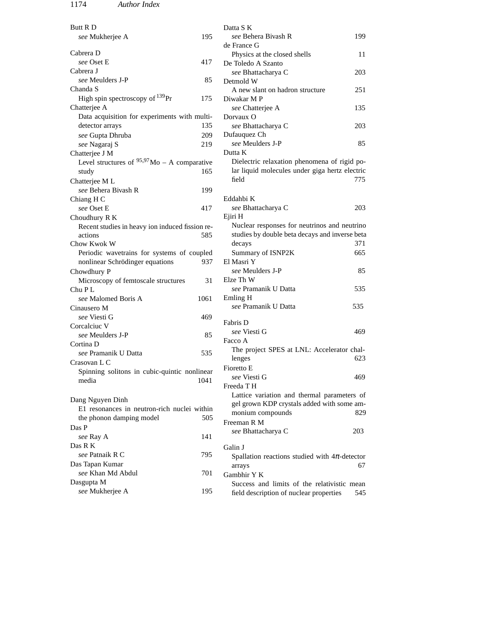| Butt R D                                        |      | Datta S K                                                                              |     |
|-------------------------------------------------|------|----------------------------------------------------------------------------------------|-----|
| see Mukherjee A                                 | 195  | see Behera Bivash R                                                                    | 199 |
|                                                 |      | de France G                                                                            |     |
| Cabrera D                                       |      | Physics at the closed shells                                                           | 11  |
| see Oset E                                      | 417  | De Toledo A Szanto                                                                     |     |
| Cabrera J                                       |      | see Bhattacharya C                                                                     | 203 |
| see Meulders J-P                                | 85   | Detmold W                                                                              |     |
| Chanda S                                        |      | A new slant on hadron structure                                                        | 251 |
| High spin spectroscopy of $^{139}$ Pr           | 175  | Diwakar M P                                                                            |     |
| Chatterjee A                                    |      | see Chatterjee A                                                                       | 135 |
| Data acquisition for experiments with multi-    |      | Dorvaux O                                                                              |     |
| detector arrays                                 | 135  | see Bhattacharya C                                                                     | 203 |
| see Gupta Dhruba                                | 209  | Dufauquez Ch                                                                           |     |
|                                                 | 219  | see Meulders J-P                                                                       | 85  |
| see Nagaraj S                                   |      | Dutta K                                                                                |     |
| Chatterjee J M                                  |      |                                                                                        |     |
| Level structures of $95,97$ Mo – A comparative  |      | Dielectric relaxation phenomena of rigid po-                                           |     |
| study                                           | 165  | lar liquid molecules under giga hertz electric                                         |     |
| Chatterjee ML                                   |      | field                                                                                  | 775 |
| see Behera Bivash R                             | 199  |                                                                                        |     |
| Chiang H C                                      |      | Eddahbi K                                                                              |     |
| see Oset E                                      | 417  | see Bhattacharya C                                                                     | 203 |
| Choudhury R K                                   |      | Ejiri H                                                                                |     |
| Recent studies in heavy ion induced fission re- |      | Nuclear responses for neutrinos and neutrino                                           |     |
| actions                                         | 585  | studies by double beta decays and inverse beta                                         |     |
| Chow Kwok W                                     |      | decays                                                                                 | 371 |
| Periodic wavetrains for systems of coupled      |      | Summary of ISNP2K                                                                      | 665 |
| nonlinear Schrödinger equations                 | 937  | El Masri Y                                                                             |     |
| Chowdhury P                                     |      | see Meulders J-P                                                                       | 85  |
| Microscopy of femtoscale structures             | 31   | Elze Th W                                                                              |     |
| Chu PL                                          |      | see Pramanik U Datta                                                                   | 535 |
| see Malomed Boris A                             | 1061 | Emling H                                                                               |     |
| Cinausero M                                     |      | see Pramanik U Datta                                                                   | 535 |
| see Viesti G                                    | 469  |                                                                                        |     |
| Corcalciuc V                                    |      | Fabris D                                                                               |     |
| see Meulders J-P                                | 85   | see Viesti G                                                                           | 469 |
| Cortina D                                       |      | Facco A                                                                                |     |
|                                                 |      | The project SPES at LNL: Accelerator chal-                                             |     |
| see Pramanik U Datta<br>Crasovan L C            | 535  | lenges                                                                                 | 623 |
|                                                 |      | Fioretto E                                                                             |     |
| Spinning solitons in cubic-quintic nonlinear    |      | see Viesti G                                                                           | 469 |
| media                                           | 1041 | Freeda T H                                                                             |     |
|                                                 |      | Lattice variation and thermal parameters of                                            |     |
| Dang Nguyen Dinh                                |      | gel grown KDP crystals added with some am-                                             |     |
| E1 resonances in neutron-rich nuclei within     |      | monium compounds                                                                       | 829 |
| the phonon damping model                        | 505  | Freeman R M                                                                            |     |
| Das P                                           |      |                                                                                        |     |
|                                                 |      |                                                                                        |     |
|                                                 |      | see Bhattacharya C                                                                     | 203 |
| see Ray A<br>Das R K                            | 141  |                                                                                        |     |
| see Patnaik R C                                 |      | Galin J                                                                                |     |
|                                                 | 795  | Spallation reactions studied with $4\pi$ -detector                                     |     |
| Das Tapan Kumar                                 |      | arrays                                                                                 | 67  |
| see Khan Md Abdul                               | 701  | Gambhir Y K                                                                            |     |
| Dasgupta M<br>see Mukherjee A                   | 195  | Success and limits of the relativistic mean<br>field description of nuclear properties | 545 |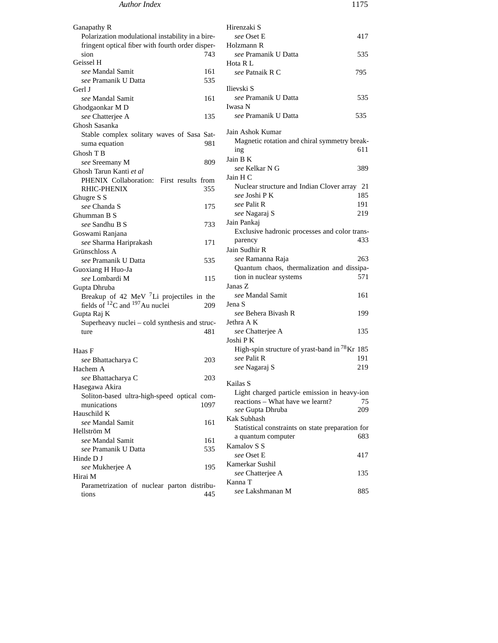*Author Index* 1175

Ganapathy R Polarization modulational instability in a birefringent optical fiber with fourth order dispersion 743 Geissel H **see Mandal Samit** 161 *see* Pramanik U Datta 535 Gerl J *see* Mandal Samit 161 Ghodgaonkar M D *see* Chatterjee A 135 Ghosh Sasanka Stable complex solitary waves of Sasa Satsuma equation 981 Ghosh T B *see* Sreemany M 809 Ghosh Tarun Kanti *et al* PHENIX Collaboration: First results from RHIC-PHENIX 355 Ghugre S S *see* Chanda S 175 Ghumman B S *see* Sandhu B S 733 Goswami Ranjana *see* Sharma Hariprakash 171 Grünschloss A *see* Pramanik U Datta 535 Guoxiang H Huo-Ja *see* Lombardi M 115 Gupta Dhruba Breakup of 42 MeV  $7$ Li projectiles in the fields of  ${}^{12}$ C and  ${}^{197}$ Au nuclei 209 Gupta Raj K Superheavy nuclei – cold synthesis and structure 481 Haas F *see* Bhattacharya C 203 Hachem A *see* Bhattacharya C 203 Hasegawa Akira Soliton-based ultra-high-speed optical communications 1097 Hauschild K *see* Mandal Samit 161 Hellström M *see* Mandal Samit 161 *see* Pramanik U Datta 535 Hinde D J *see* Mukherjee A 195 Hirai M Parametrization of nuclear parton distributions 445 Hirenzaki S *see* Oset E 417 Holzmann R *see* Pramanik U Datta 535 Hota R L *see* Patnaik R C 795 Ilievski S *see* Pramanik U Datta 535 Iwasa N *see* Pramanik U Datta 535 Jain Ashok Kumar Magnetic rotation and chiral symmetry breaking 611 Jain B K *see* Kelkar N G 389 Jain H C Nuclear structure and Indian Clover array 21 *see* Joshi P K 185 *see* Palit R 191 *see* Nagaraj S 219 Jain Pankaj Exclusive hadronic processes and color transparency 433 Jain Sudhir R *see* Ramanna Raja 263 Quantum chaos, thermalization and dissipation in nuclear systems 571 Janas Z *see* Mandal Samit 161 Jena S *see* Behera Bivash R 199 Jethra A K *see* Chatterjee A 135 Joshi P K High-spin structure of yrast-band in 78Kr 185 *see* Palit R 191 *see* Nagaraj S 219 Kailas S Light charged particle emission in heavy-ion reactions – What have we learnt? 75 *see* Gupta Dhruba 209 Kak Subhash Statistical constraints on state preparation for a quantum computer 683 Kamalov S S *see* Oset E 417 Kamerkar Sushil *see* Chatterjee A 135 Kanna T *see* Lakshmanan M 885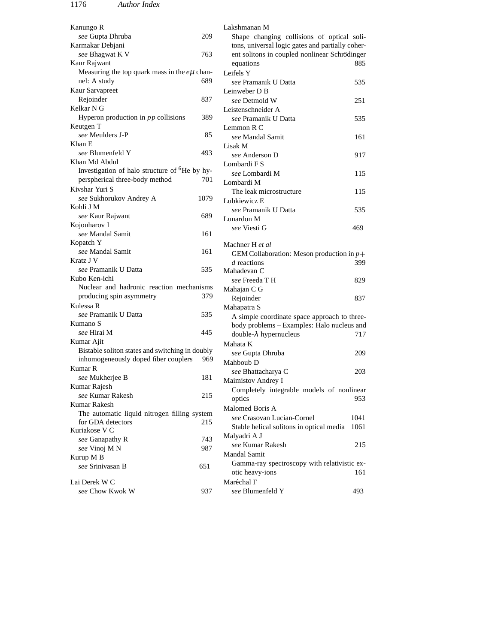| Kanungo R                                                 |      | Lakshmanan M                                     |      |
|-----------------------------------------------------------|------|--------------------------------------------------|------|
| see Gupta Dhruba                                          | 209  | Shape changing collisions of optical soli-       |      |
| Karmakar Debjani                                          |      | tons, universal logic gates and partially coher- |      |
| see Bhagwat K V                                           | 763  | ent solitons in coupled nonlinear Schrödinger    |      |
| Kaur Rajwant                                              |      | equations                                        | 885  |
| Measuring the top quark mass in the $e\mu$ chan-          |      | Leifels Y                                        |      |
| nel: A study                                              | 689  | see Pramanik U Datta                             | 535  |
| Kaur Sarvapreet                                           |      | Leinweber D B                                    |      |
| Rejoinder                                                 | 837  | see Detmold W                                    | 251  |
| Kelkar N G                                                |      | Leistenschneider A                               |      |
| Hyperon production in $pp$ collisions                     | 389  | see Pramanik U Datta                             | 535  |
| Keutgen T                                                 |      | Lemmon R C                                       |      |
| see Meulders J-P                                          | 85   | see Mandal Samit                                 | 161  |
| Khan E                                                    |      | Lisak M                                          |      |
| see Blumenfeld Y                                          | 493  | see Anderson D                                   | 917  |
| Khan Md Abdul                                             |      | Lombardi F S                                     |      |
| Investigation of halo structure of <sup>6</sup> He by hy- |      | see Lombardi M                                   | 115  |
| perspherical three-body method                            | 701  | Lombardi M                                       |      |
| Kivshar Yuri S                                            |      | The leak microstructure                          | 115  |
| see Sukhorukov Andrey A                                   | 1079 | Lubkiewicz E                                     |      |
| Kohli J M                                                 |      | see Pramanik U Datta                             | 535  |
| see Kaur Rajwant                                          | 689  | Lunardon M                                       |      |
| Kojouharov I                                              |      | see Viesti G                                     | 469  |
| see Mandal Samit                                          | 161  |                                                  |      |
| Kopatch Y                                                 |      | Machner H et al                                  |      |
| see Mandal Samit<br>Kratz J V                             | 161  | GEM Collaboration: Meson production in $p+$      |      |
| see Pramanik U Datta                                      | 535  | <i>d</i> reactions                               | 399  |
| Kubo Ken-ichi                                             |      | Mahadevan C                                      |      |
| Nuclear and hadronic reaction mechanisms                  |      | see Freeda T H                                   | 829  |
| producing spin asymmetry                                  | 379  | Mahajan C G                                      |      |
| Kulessa R                                                 |      | Rejoinder                                        | 837  |
| see Pramanik U Datta                                      | 535  | Mahapatra S                                      |      |
| Kumano S                                                  |      | A simple coordinate space approach to three-     |      |
| see Hirai M                                               | 445  | body problems - Examples: Halo nucleus and       |      |
| Kumar Ajit                                                |      | double- $\lambda$ hypernucleus                   | 717  |
| Bistable soliton states and switching in doubly           |      | Mahata K                                         |      |
| inhomogeneously doped fiber couplers                      | 969  | see Gupta Dhruba                                 | 209  |
| Kumar R                                                   |      | Mahboub D                                        |      |
| see Mukherjee B                                           | 181  | see Bhattacharya C                               | 203  |
| Kumar Rajesh                                              |      | Maimistov Andrey I                               |      |
| see Kumar Rakesh                                          | 215  | Completely integrable models of nonlinear        |      |
| Kumar Rakesh                                              |      | optics                                           | 953  |
| The automatic liquid nitrogen filling system              |      | Malomed Boris A                                  |      |
| for GDA detectors                                         | 215  | see Crasovan Lucian-Cornel                       | 1041 |
| Kuriakose V C                                             |      | Stable helical solitons in optical media         | 1061 |
| see Ganapathy R                                           | 743  | Malyadri A J                                     |      |
| see Vinoj M N                                             | 987  | see Kumar Rakesh                                 | 215  |
| Kurup M B                                                 |      | <b>Mandal Samit</b>                              |      |
| see Srinivasan B                                          | 651  | Gamma-ray spectroscopy with relativistic ex-     |      |
|                                                           |      | otic heavy-ions                                  | 161  |
| Lai Derek W C                                             |      | Maréchal F                                       |      |
| see Chow Kwok W                                           | 937  | see Blumenfeld Y                                 | 493  |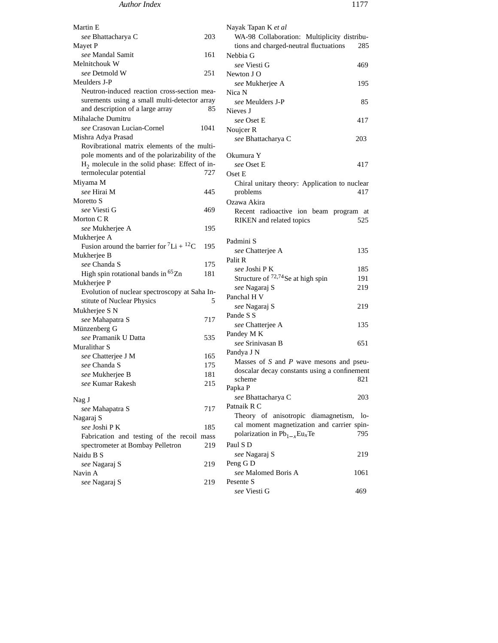Martin E *see* Bhattacharya C 203 Mayet P *see* Mandal Samit 161 Melnitchouk W *see* Detmold W 251 Meulders J-P Neutron-induced reaction cross-section measurements using a small multi-detector array and description of a large array 85 Mihalache Dumitru *see* Crasovan Lucian-Cornel 1041 Mishra Adya Prasad Rovibrational matrix elements of the multipole moments and of the polarizability of the  $H_2$  molecule in the solid phase: Effect of in-<br>termolecular potential  $727$ termolecular potential Miyama M *see* Hirai M 445 Moretto S *see* Viesti G 469 Morton C R *see* Mukherjee A 195 Mukherjee A Fusion around the barrier for  ${}^{7}Li + {}^{12}C = 195$ Mukherjee B *see* Chanda S 175 High spin rotational bands in  ${}^{65}Zn$  181 Mukherjee P Evolution of nuclear spectroscopy at Saha Institute of Nuclear Physics 5 Mukherjee S N *see* Mahapatra S 717 Münzenberg G *see* Pramanik U Datta 535 Muralithar S *see* Chatterjee J M 165 *see* Chanda S 175 *see* Mukherjee B 181 *see* Kumar Rakesh 215 Nag J *see* Mahapatra S 717 Nagaraj S *see* Joshi P K 185 Fabrication and testing of the recoil mass spectrometer at Bombay Pelletron 219 Naidu B S *see* Nagaraj S 219 Navin A *see* Nagaraj S 219 Nayak Tapan K *et al* WA-98 Collaboration: Multiplicity distributions and charged-neutral fluctuations 285 Nebbia G *see* Viesti G 469 Newton J O *see* Mukherjee A 195 Nica N *see* Meulders J-P 85 Nieves J *see* Oset E 417 Noujcer R *see* Bhattacharya C 203 Okumura Y *see* Oset E 417 Oset E Chiral unitary theory: Application to nuclear problems 417 Ozawa Akira Recent radioactive ion beam program at RIKEN and related topics 525 Padmini S *see* Chatterjee A 135 Palit R *see* Joshi P K 185 Structure of  $72,74$  Se at high spin 191 *see* Nagaraj S 219 Panchal H V *see* Nagaraj S 219 Pande S S *see* Chatterjee A 135 Pandey M K *see* Srinivasan B 651 Pandya J N Masses of *S* and *P* wave mesons and pseudoscalar decay constants using a confinement scheme 821 Papka P *see* Bhattacharya C 203 Patnaik R C Theory of anisotropic diamagnetism, local moment magnetization and carrier spinpolarization in  $Pb_{1-x}Eu_xTe$  795 Paul S D *see* Nagaraj S 219 Peng G D *see* Malomed Boris A 1061 Pesente S *see* Viesti G 469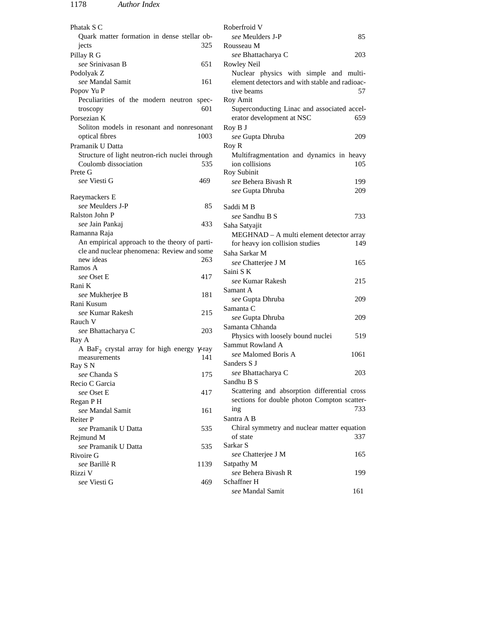| Phatak S C                                                     |     | Roberfroid V                                   |  |
|----------------------------------------------------------------|-----|------------------------------------------------|--|
| Quark matter formation in dense stellar ob-                    |     | see Meulders J-P<br>85                         |  |
| jects                                                          | 325 | Rousseau M                                     |  |
| Pillay R G                                                     |     | 203<br>see Bhattacharya C                      |  |
| see Srinivasan B                                               | 651 | Rowley Neil                                    |  |
| Podolyak Z                                                     |     | Nuclear physics with simple and multi-         |  |
| see Mandal Samit                                               | 161 | element detectors and with stable and radioac- |  |
| Popov Yu P                                                     |     | tive beams<br>57                               |  |
| Peculiarities of the modern neutron spec-                      |     | Roy Amit                                       |  |
| troscopy                                                       | 601 | Superconducting Linac and associated accel-    |  |
| Porsezian K                                                    |     | erator development at NSC<br>659               |  |
| Soliton models in resonant and nonresonant                     |     | Roy B J                                        |  |
| optical fibres<br>1003                                         |     | 209<br>see Gupta Dhruba                        |  |
| Pramanik U Datta                                               |     | Roy R                                          |  |
| Structure of light neutron-rich nuclei through                 |     | Multifragmentation and dynamics in heavy       |  |
| Coulomb dissociation                                           | 535 | ion collisions<br>105                          |  |
| Prete G                                                        |     | Roy Subinit                                    |  |
| see Viesti G<br>469                                            |     | see Behera Bivash R<br>199                     |  |
|                                                                |     | see Gupta Dhruba<br>209                        |  |
| Raeymackers E                                                  |     |                                                |  |
| see Meulders J-P                                               | 85  | Saddi M B                                      |  |
| Ralston John P                                                 |     | see Sandhu B S<br>733                          |  |
| see Jain Pankaj                                                | 433 | Saha Satyajit                                  |  |
| Ramanna Raja                                                   |     | MEGHNAD - A multi element detector array       |  |
| An empirical approach to the theory of parti-                  |     | for heavy ion collision studies<br>149         |  |
| cle and nuclear phenomena: Review and some                     |     | Saha Sarkar M                                  |  |
| new ideas                                                      | 263 | see Chatterjee J M<br>165                      |  |
| Ramos A                                                        |     | Saini S K                                      |  |
| see Oset E                                                     | 417 | see Kumar Rakesh<br>215                        |  |
| Rani K                                                         |     | Samant A                                       |  |
| see Mukherjee B                                                | 181 | 209                                            |  |
| Rani Kusum                                                     |     | see Gupta Dhruba<br>Samanta C                  |  |
| see Kumar Rakesh                                               | 215 | 209                                            |  |
| Rauch V                                                        |     | see Gupta Dhruba                               |  |
| see Bhattacharya C                                             | 203 | Samanta Chhanda                                |  |
| Ray A                                                          |     | Physics with loosely bound nuclei<br>519       |  |
| A BaF <sub>2</sub> crystal array for high energy $\gamma$ -ray |     | Sammut Rowland A                               |  |
| measurements                                                   | 141 | see Malomed Boris A<br>1061                    |  |
| Ray S N                                                        |     | Sanders S J                                    |  |
| see Chanda S                                                   | 175 | see Bhattacharya C<br>203                      |  |
| Recio C Garcia                                                 |     | Sandhu B S                                     |  |
| see Oset E                                                     | 417 | Scattering and absorption differential cross   |  |
| Regan PH                                                       |     | sections for double photon Compton scatter-    |  |
| see Mandal Samit                                               | 161 | ing<br>733                                     |  |
| <b>Reiter P</b>                                                |     | Santra A B                                     |  |
| see Pramanik U Datta                                           | 535 | Chiral symmetry and nuclear matter equation    |  |
| Rejmund M                                                      |     | of state<br>337                                |  |
| see Pramanik U Datta                                           | 535 | Sarkar <sub>S</sub>                            |  |
| Rivoire G                                                      |     | see Chatterjee J M<br>165                      |  |
| see Barillé R<br>1139                                          |     | Satpathy M                                     |  |
| Rizzi V                                                        |     | see Behera Bivash R<br>199                     |  |
| see Viesti G                                                   | 469 | Schaffner H                                    |  |
|                                                                |     | see Mandal Samit<br>161                        |  |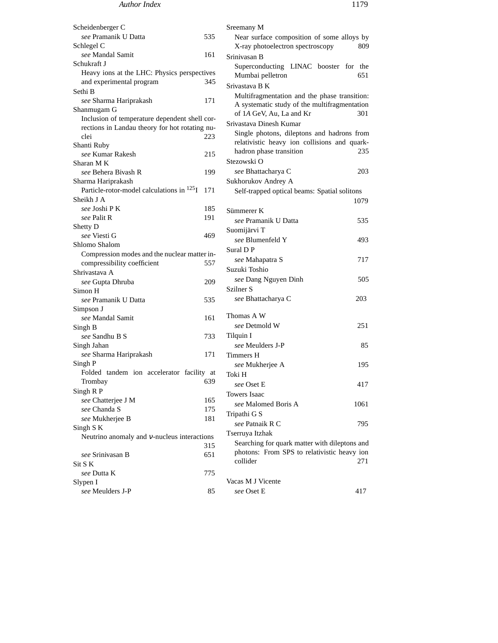| Scheidenberger C                                      |     | Sreemany M                                    |      |
|-------------------------------------------------------|-----|-----------------------------------------------|------|
| see Pramanik U Datta                                  | 535 | Near surface composition of some alloys by    |      |
| Schlegel C                                            |     | X-ray photoelectron spectroscopy              | 809  |
| see Mandal Samit                                      | 161 | Srinivasan B                                  |      |
| Schukraft J                                           |     | Superconducting LINAC booster for the         |      |
| Heavy ions at the LHC: Physics perspectives           |     | Mumbai pelletron                              | 651  |
| and experimental program                              | 345 | Srivastava B K                                |      |
| Sethi B                                               |     | Multifragmentation and the phase transition:  |      |
| see Sharma Hariprakash                                | 171 | A systematic study of the multifragmentation  |      |
| Shanmugam G                                           |     | of 1A GeV, Au, La and Kr                      | 301  |
| Inclusion of temperature dependent shell cor-         |     | Srivastava Dinesh Kumar                       |      |
| rections in Landau theory for hot rotating nu-        |     | Single photons, dileptons and hadrons from    |      |
| clei                                                  | 223 | relativistic heavy ion collisions and quark-  |      |
| Shanti Ruby                                           |     | hadron phase transition                       | 235  |
| see Kumar Rakesh<br>Sharan M K                        | 215 | Stezowski O                                   |      |
| see Behera Bivash R                                   | 199 | see Bhattacharya C                            | 203  |
| Sharma Hariprakash                                    |     |                                               |      |
| Particle-rotor-model calculations in <sup>125</sup> I | 171 | Sukhorukov Andrey A                           |      |
| Sheikh J A                                            |     | Self-trapped optical beams: Spatial solitons  |      |
| see Joshi P K                                         | 185 |                                               | 1079 |
| see Palit R                                           | 191 | Sümmerer K                                    |      |
| Shetty D                                              |     | see Pramanik U Datta                          | 535  |
| see Viesti G                                          | 469 | Suomijärvi T                                  |      |
| Shlomo Shalom                                         |     | see Blumenfeld Y                              | 493  |
| Compression modes and the nuclear matter in-          |     | Sural D P                                     |      |
| compressibility coefficient                           | 557 | see Mahapatra S                               | 717  |
| Shrivastava A                                         |     | Suzuki Toshio                                 |      |
| see Gupta Dhruba                                      | 209 | see Dang Nguyen Dinh                          | 505  |
| Simon H                                               |     | Szilner S                                     |      |
| see Pramanik U Datta                                  | 535 | see Bhattacharya C                            | 203  |
| Simpson J                                             |     |                                               |      |
| see Mandal Samit                                      | 161 | Thomas A W                                    |      |
| Singh B                                               |     | see Detmold W                                 | 251  |
| see Sandhu B S                                        | 733 | Tilquin I                                     |      |
| Singh Jahan                                           |     | see Meulders J-P                              | 85   |
| see Sharma Hariprakash                                | 171 | Timmers H                                     |      |
| Singh P                                               |     | see Mukherjee A                               | 195  |
| Folded tandem ion accelerator facility at             |     | Toki H                                        |      |
| Trombay                                               | 639 | see Oset E                                    | 417  |
| Singh R P                                             |     | Towers Isaac                                  |      |
| see Chatterjee J M                                    | 165 | see Malomed Boris A                           | 1061 |
| see Chanda S                                          | 175 | Tripathi G S                                  |      |
| see Mukherjee B                                       | 181 | see Patnaik R C                               | 795  |
| Singh S K                                             |     | Tserruya Itzhak                               |      |
| Neutrino anomaly and v-nucleus interactions           |     | Searching for quark matter with dileptons and |      |
|                                                       | 315 | photons: From SPS to relativistic heavy ion   |      |
| see Srinivasan B                                      | 651 | collider                                      | 271  |
| Sit SK                                                |     |                                               |      |
| see Dutta K                                           | 775 |                                               |      |
| Slypen I                                              |     | Vacas M J Vicente                             |      |
| see Meulders J-P                                      | 85  | see Oset E                                    | 417  |